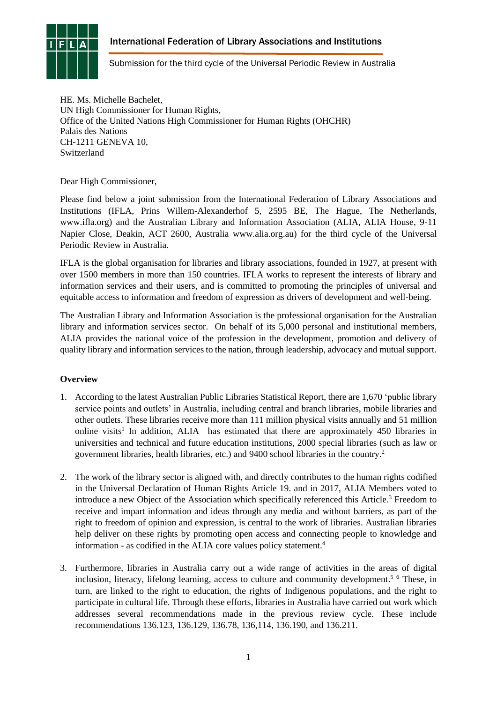# International Federation of Library Associations and Institutions



Submission for the third cycle of the Universal Periodic Review in Australia

HE. Ms. Michelle Bachelet, UN High Commissioner for Human Rights, Office of the United Nations High Commissioner for Human Rights (OHCHR) Palais des Nations CH-1211 GENEVA 10, Switzerland

Dear High Commissioner,

Please find below a joint submission from the International Federation of Library Associations and Institutions (IFLA, Prins Willem-Alexanderhof 5, 2595 BE, The Hague, The Netherlands, www.ifla.org) and the Australian Library and Information Association (ALIA, ALIA House, 9-11 Napier Close, Deakin, ACT 2600, Australia www.alia.org.au) for the third cycle of the Universal Periodic Review in Australia.

IFLA is the global organisation for libraries and library associations, founded in 1927, at present with over 1500 members in more than 150 countries. IFLA works to represent the interests of library and information services and their users, and is committed to promoting the principles of universal and equitable access to information and freedom of expression as drivers of development and well-being.

The Australian Library and Information Association is the professional organisation for the Australian library and information services sector. On behalf of its 5,000 personal and institutional members, ALIA provides the national voice of the profession in the development, promotion and delivery of quality library and information services to the nation, through leadership, advocacy and mutual support.

# **Overview**

- 1. According to the latest Australian Public Libraries Statistical Report, there are 1,670 'public library service points and outlets' in Australia, including central and branch libraries, mobile libraries and other outlets. These libraries receive more than 111 million physical visits annually and 51 million online visits<sup>1</sup> In addition, ALIA has estimated that there are approximately 450 libraries in universities and technical and future education institutions, 2000 special libraries (such as law or government libraries, health libraries, etc.) and 9400 school libraries in the country.<sup>2</sup>
- 2. The work of the library sector is aligned with, and directly contributes to the human rights codified in the Universal Declaration of Human Rights Article 19. and in 2017, ALIA Members voted to introduce a new Object of the Association which specifically referenced this Article. <sup>3</sup> Freedom to receive and impart information and ideas through any media and without barriers, as part of the right to freedom of opinion and expression, is central to the work of libraries. Australian libraries help deliver on these rights by promoting open access and connecting people to knowledge and information - as codified in the ALIA core values policy statement. 4
- 3. Furthermore, libraries in Australia carry out a wide range of activities in the areas of digital inclusion, literacy, lifelong learning, access to culture and community development.<sup>5 6</sup> These, in turn, are linked to the right to education, the rights of Indigenous populations, and the right to participate in cultural life. Through these efforts, libraries in Australia have carried out work which addresses several recommendations made in the previous review cycle. These include recommendations 136.123, 136.129, 136.78, 136,114, 136.190, and 136.211.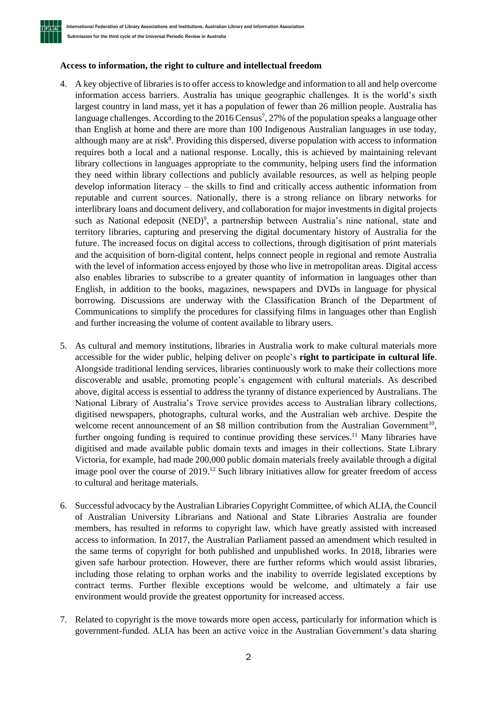

#### **Access to information, the right to culture and intellectual freedom**

- 4. A key objective of libraries is to offer access to knowledge and information to all and help overcome information access barriers. Australia has unique geographic challenges. It is the world's sixth largest country in land mass, yet it has a population of fewer than 26 million people. Australia has language challenges. According to the 2016 Census<sup>7</sup>, 27% of the population speaks a language other than English at home and there are more than 100 Indigenous Australian languages in use today, although many are at risk<sup>8</sup>. Providing this dispersed, diverse population with access to information requires both a local and a national response. Locally, this is achieved by maintaining relevant library collections in languages appropriate to the community, helping users find the information they need within library collections and publicly available resources, as well as helping people develop information literacy – the skills to find and critically access authentic information from reputable and current sources. Nationally, there is a strong reliance on library networks for interlibrary loans and document delivery, and collaboration for major investments in digital projects such as National edeposit (NED)<sup>9</sup>, a partnership between Australia's nine national, state and territory libraries, capturing and preserving the digital documentary history of Australia for the future. The increased focus on digital access to collections, through digitisation of print materials and the acquisition of born-digital content, helps connect people in regional and remote Australia with the level of information access enjoyed by those who live in metropolitan areas. Digital access also enables libraries to subscribe to a greater quantity of information in languages other than English, in addition to the books, magazines, newspapers and DVDs in language for physical borrowing. Discussions are underway with the Classification Branch of the Department of Communications to simplify the procedures for classifying films in languages other than English and further increasing the volume of content available to library users.
- 5. As cultural and memory institutions, libraries in Australia work to make cultural materials more accessible for the wider public, helping deliver on people's **right to participate in cultural life**. Alongside traditional lending services, libraries continuously work to make their collections more discoverable and usable, promoting people's engagement with cultural materials. As described above, digital access is essential to address the tyranny of distance experienced by Australians. The National Library of Australia's Trove service provides access to Australian library collections, digitised newspapers, photographs, cultural works, and the Australian web archive. Despite the welcome recent announcement of an \$8 million contribution from the Australian Government<sup>10</sup>, further ongoing funding is required to continue providing these services.<sup>11</sup> Many libraries have digitised and made available public domain texts and images in their collections. State Library Victoria, for example, had made 200,000 public domain materials freely available through a digital image pool over the course of 2019.<sup>12</sup> Such library initiatives allow for greater freedom of access to cultural and heritage materials.
- 6. Successful advocacy by the Australian Libraries Copyright Committee, of which ALIA, the Council of Australian University Librarians and National and State Libraries Australia are founder members, has resulted in reforms to copyright law, which have greatly assisted with increased access to information. In 2017, the Australian Parliament passed an amendment which resulted in the same terms of copyright for both published and unpublished works. In 2018, libraries were given safe harbour protection. However, there are further reforms which would assist libraries, including those relating to orphan works and the inability to override legislated exceptions by contract terms. Further flexible exceptions would be welcome, and ultimately a fair use environment would provide the greatest opportunity for increased access.
- 7. Related to copyright is the move towards more open access, particularly for information which is government-funded. ALIA has been an active voice in the Australian Government's data sharing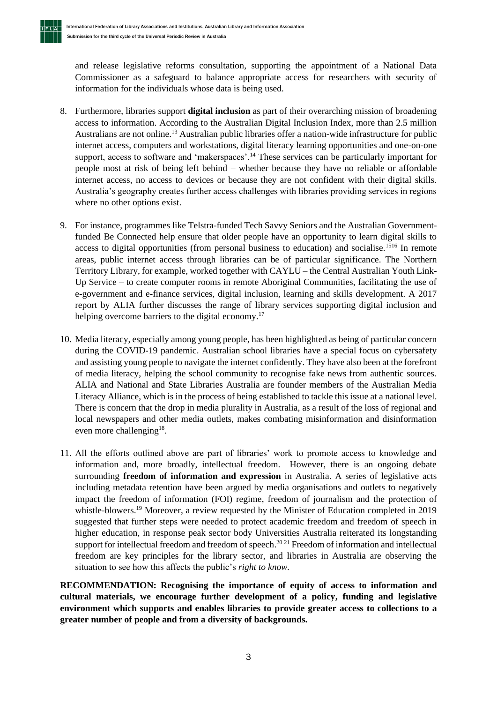$T$  $F$  $L$  $A$ 

and release legislative reforms consultation, supporting the appointment of a National Data Commissioner as a safeguard to balance appropriate access for researchers with security of information for the individuals whose data is being used.

- 8. Furthermore, libraries support **digital inclusion** as part of their overarching mission of broadening access to information. According to the Australian Digital Inclusion Index, more than 2.5 million Australians are not online.<sup>13</sup> Australian public libraries offer a nation-wide infrastructure for public internet access, computers and workstations, digital literacy learning opportunities and one-on-one support, access to software and 'makerspaces'.<sup>14</sup> These services can be particularly important for people most at risk of being left behind – whether because they have no reliable or affordable internet access, no access to devices or because they are not confident with their digital skills. Australia's geography creates further access challenges with libraries providing services in regions where no other options exist.
- 9. For instance, programmes like Telstra-funded Tech Savvy Seniors and the Australian Governmentfunded Be Connected help ensure that older people have an opportunity to learn digital skills to access to digital opportunities (from personal business to education) and socialise.<sup>1516</sup> In remote areas, public internet access through libraries can be of particular significance. The Northern Territory Library, for example, worked together with CAYLU – the Central Australian Youth Link-Up Service – to create computer rooms in remote Aboriginal Communities, facilitating the use of e-government and e-finance services, digital inclusion, learning and skills development. A 2017 report by ALIA further discusses the range of library services supporting digital inclusion and helping overcome barriers to the digital economy.<sup>17</sup>
- 10. Media literacy, especially among young people, has been highlighted as being of particular concern during the COVID-19 pandemic. Australian school libraries have a special focus on cybersafety and assisting young people to navigate the internet confidently. They have also been at the forefront of media literacy, helping the school community to recognise fake news from authentic sources. ALIA and National and State Libraries Australia are founder members of the Australian Media Literacy Alliance, which is in the process of being established to tackle this issue at a national level. There is concern that the drop in media plurality in Australia, as a result of the loss of regional and local newspapers and other media outlets, makes combating misinformation and disinformation even more challenging<sup>18</sup>.
- 11. All the efforts outlined above are part of libraries' work to promote access to knowledge and information and, more broadly, intellectual freedom. However, there is an ongoing debate surrounding **freedom of information and expression** in Australia. A series of legislative acts including metadata retention have been argued by media organisations and outlets to negatively impact the freedom of information (FOI) regime, freedom of journalism and the protection of whistle-blowers.<sup>19</sup> Moreover, a review requested by the Minister of Education completed in 2019 suggested that further steps were needed to protect academic freedom and freedom of speech in higher education, in response peak sector body Universities Australia reiterated its longstanding support for intellectual freedom and freedom of speech.<sup>20 21</sup> Freedom of information and intellectual freedom are key principles for the library sector, and libraries in Australia are observing the situation to see how this affects the public's *right to know.*

**RECOMMENDATION: Recognising the importance of equity of access to information and cultural materials, we encourage further development of a policy, funding and legislative environment which supports and enables libraries to provide greater access to collections to a greater number of people and from a diversity of backgrounds.**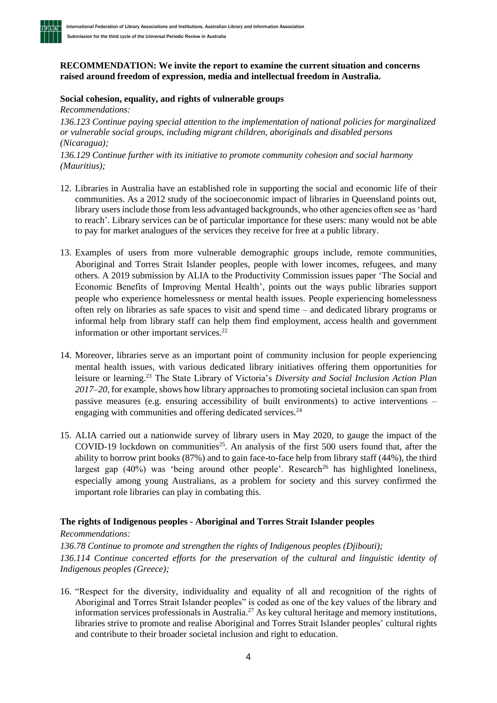## **RECOMMENDATION: We invite the report to examine the current situation and concerns raised around freedom of expression, media and intellectual freedom in Australia.**

## **Social cohesion, equality, and rights of vulnerable groups**

*Recommendations:*

TELIAI

*136.123 Continue paying special attention to the implementation of national policies for marginalized or vulnerable social groups, including migrant children, aboriginals and disabled persons (Nicaragua);*

*136.129 Continue further with its initiative to promote community cohesion and social harmony (Mauritius);*

- 12. Libraries in Australia have an established role in supporting the social and economic life of their communities. As a 2012 study of the socioeconomic impact of libraries in Queensland points out, library users include those from less advantaged backgrounds, who other agencies often see as 'hard to reach'. Library services can be of particular importance for these users: many would not be able to pay for market analogues of the services they receive for free at a public library.
- 13. Examples of users from more vulnerable demographic groups include, remote communities, Aboriginal and Torres Strait Islander peoples, people with lower incomes, refugees, and many others. A 2019 submission by ALIA to the Productivity Commission issues paper 'The Social and Economic Benefits of Improving Mental Health', points out the ways public libraries support people who experience homelessness or mental health issues. People experiencing homelessness often rely on libraries as safe spaces to visit and spend time – and dedicated library programs or informal help from library staff can help them find employment, access health and government information or other important services.<sup>22</sup>
- 14. Moreover, libraries serve as an important point of community inclusion for people experiencing mental health issues, with various dedicated library initiatives offering them opportunities for leisure or learning. <sup>23</sup> The State Library of Victoria's *Diversity and Social Inclusion Action Plan 2017–20*, for example, shows how library approaches to promoting societal inclusion can span from passive measures (e.g. ensuring accessibility of built environments) to active interventions – engaging with communities and offering dedicated services.<sup>24</sup>
- 15. ALIA carried out a nationwide survey of library users in May 2020, to gauge the impact of the COVID-19 lockdown on communities<sup>25</sup>. An analysis of the first 500 users found that, after the ability to borrow print books (87%) and to gain face-to-face help from library staff (44%), the third largest gap  $(40%)$  was 'being around other people'. Research<sup>26</sup> has highlighted loneliness, especially among young Australians, as a problem for society and this survey confirmed the important role libraries can play in combating this.

# **The rights of Indigenous peoples - Aboriginal and Torres Strait Islander peoples**

*Recommendations:* 

*136.78 Continue to promote and strengthen the rights of Indigenous peoples (Djibouti); 136.114 Continue concerted efforts for the preservation of the cultural and linguistic identity of Indigenous peoples (Greece);*

16. "Respect for the diversity, individuality and equality of all and recognition of the rights of Aboriginal and Torres Strait Islander peoples" is coded as one of the key values of the library and information services professionals in Australia.<sup>27</sup> As key cultural heritage and memory institutions, libraries strive to promote and realise Aboriginal and Torres Strait Islander peoples' cultural rights and contribute to their broader societal inclusion and right to education.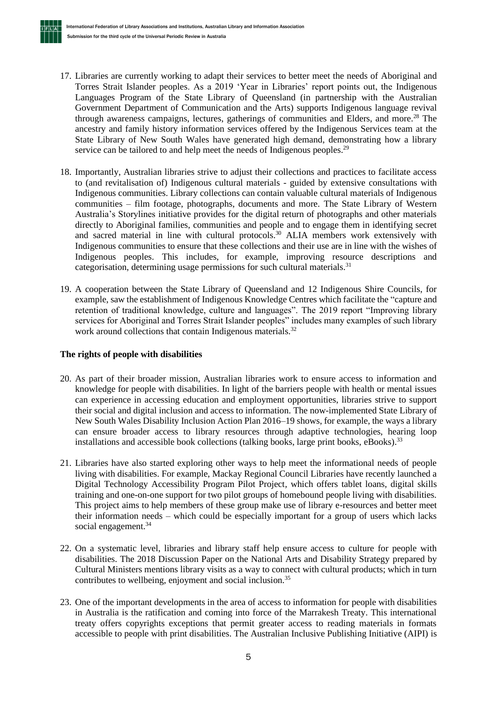**TFLA** 

- 17. Libraries are currently working to adapt their services to better meet the needs of Aboriginal and Torres Strait Islander peoples. As a 2019 'Year in Libraries' report points out, the Indigenous Languages Program of the State Library of Queensland (in partnership with the Australian Government Department of Communication and the Arts) supports Indigenous language revival through awareness campaigns, lectures, gatherings of communities and Elders, and more.<sup>28</sup> The ancestry and family history information services offered by the Indigenous Services team at the State Library of New South Wales have generated high demand, demonstrating how a library service can be tailored to and help meet the needs of Indigenous peoples.<sup>29</sup>
- 18. Importantly, Australian libraries strive to adjust their collections and practices to facilitate access to (and revitalisation of) Indigenous cultural materials - guided by extensive consultations with Indigenous communities. Library collections can contain valuable cultural materials of Indigenous communities – film footage, photographs, documents and more. The State Library of Western Australia's Storylines initiative provides for the digital return of photographs and other materials directly to Aboriginal families, communities and people and to engage them in identifying secret and sacred material in line with cultural protocols. <sup>30</sup> ALIA members work extensively with Indigenous communities to ensure that these collections and their use are in line with the wishes of Indigenous peoples. This includes, for example, improving resource descriptions and categorisation, determining usage permissions for such cultural materials.<sup>31</sup>
- 19. A cooperation between the State Library of Queensland and 12 Indigenous Shire Councils, for example, saw the establishment of Indigenous Knowledge Centres which facilitate the "capture and retention of traditional knowledge, culture and languages". The 2019 report "Improving library services for Aboriginal and Torres Strait Islander peoples" includes many examples of such library work around collections that contain Indigenous materials.<sup>32</sup>

## **The rights of people with disabilities**

- 20. As part of their broader mission, Australian libraries work to ensure access to information and knowledge for people with disabilities. In light of the barriers people with health or mental issues can experience in accessing education and employment opportunities, libraries strive to support their social and digital inclusion and access to information. The now-implemented State Library of New South Wales Disability Inclusion Action Plan 2016–19 shows, for example, the ways a library can ensure broader access to library resources through adaptive technologies, hearing loop installations and accessible book collections (talking books, large print books, eBooks).<sup>33</sup>
- 21. Libraries have also started exploring other ways to help meet the informational needs of people living with disabilities. For example, Mackay Regional Council Libraries have recently launched a Digital Technology Accessibility Program Pilot Project*,* which offers tablet loans, digital skills training and one-on-one support for two pilot groups of homebound people living with disabilities. This project aims to help members of these group make use of library e-resources and better meet their information needs – which could be especially important for a group of users which lacks social engagement.<sup>34</sup>
- 22. On a systematic level, libraries and library staff help ensure access to culture for people with disabilities. The 2018 Discussion Paper on the National Arts and Disability Strategy prepared by Cultural Ministers mentions library visits as a way to connect with cultural products; which in turn contributes to wellbeing, enjoyment and social inclusion.<sup>35</sup>
- 23. One of the important developments in the area of access to information for people with disabilities in Australia is the ratification and coming into force of the Marrakesh Treaty. This international treaty offers copyrights exceptions that permit greater access to reading materials in formats accessible to people with print disabilities. The Australian Inclusive Publishing Initiative (AIPI) is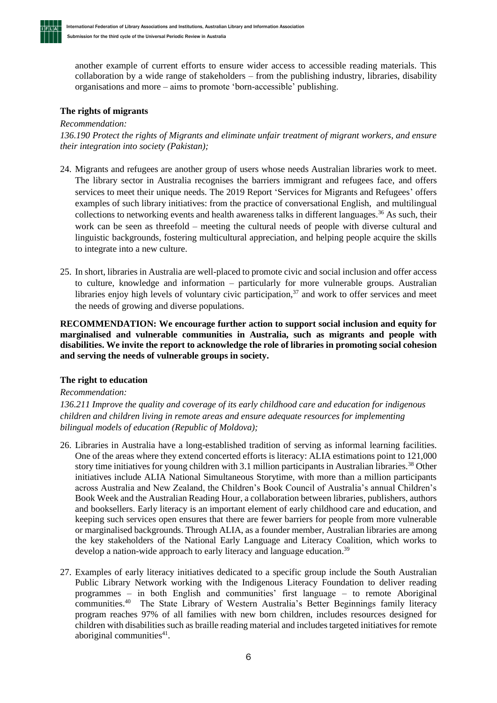another example of current efforts to ensure wider access to accessible reading materials. This collaboration by a wide range of stakeholders – from the publishing industry, libraries, disability organisations and more – aims to promote 'born-accessible' publishing.

### **The rights of migrants**

#### *Recommendation:*

**TFLA** 

*136.190 Protect the rights of Migrants and eliminate unfair treatment of migrant workers, and ensure their integration into society (Pakistan);*

- 24. Migrants and refugees are another group of users whose needs Australian libraries work to meet. The library sector in Australia recognises the barriers immigrant and refugees face, and offers services to meet their unique needs. The 2019 Report 'Services for Migrants and Refugees' offers examples of such library initiatives: from the practice of conversational English, and multilingual collections to networking events and health awareness talks in different languages.<sup>36</sup> As such, their work can be seen as threefold – meeting the cultural needs of people with diverse cultural and linguistic backgrounds, fostering multicultural appreciation, and helping people acquire the skills to integrate into a new culture.
- 25. In short, libraries in Australia are well-placed to promote civic and social inclusion and offer access to culture, knowledge and information – particularly for more vulnerable groups. Australian libraries enjoy high levels of voluntary civic participation,  $37$  and work to offer services and meet the needs of growing and diverse populations.

**RECOMMENDATION: We encourage further action to support social inclusion and equity for marginalised and vulnerable communities in Australia, such as migrants and people with disabilities. We invite the report to acknowledge the role of libraries in promoting social cohesion and serving the needs of vulnerable groups in society.**

#### **The right to education**

#### *Recommendation:*

*136.211 Improve the quality and coverage of its early childhood care and education for indigenous children and children living in remote areas and ensure adequate resources for implementing bilingual models of education (Republic of Moldova);*

- 26. Libraries in Australia have a long-established tradition of serving as informal learning facilities. One of the areas where they extend concerted efforts is literacy: ALIA estimations point to 121,000 story time initiatives for young children with 3.1 million participants in Australian libraries.<sup>38</sup> Other initiatives include ALIA National Simultaneous Storytime, with more than a million participants across Australia and New Zealand, the Children's Book Council of Australia's annual Children's Book Week and the Australian Reading Hour, a collaboration between libraries, publishers, authors and booksellers. Early literacy is an important element of early childhood care and education, and keeping such services open ensures that there are fewer barriers for people from more vulnerable or marginalised backgrounds. Through ALIA, as a founder member, Australian libraries are among the key stakeholders of the National Early Language and Literacy Coalition, which works to develop a nation-wide approach to early literacy and language education.<sup>39</sup>
- 27. Examples of early literacy initiatives dedicated to a specific group include the South Australian Public Library Network working with the Indigenous Literacy Foundation to deliver reading programmes – in both English and communities' first language – to remote Aboriginal communities.<sup>40</sup> The State Library of Western Australia's Better Beginnings family literacy program reaches 97% of all families with new born children, includes resources designed for children with disabilities such as braille reading material and includes targeted initiatives for remote aboriginal communities 41 .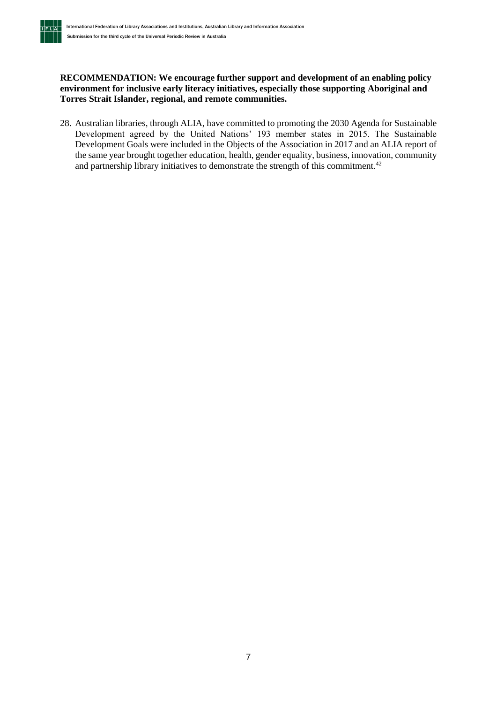

### **RECOMMENDATION: We encourage further support and development of an enabling policy environment for inclusive early literacy initiatives, especially those supporting Aboriginal and Torres Strait Islander, regional, and remote communities.**

28. Australian libraries, through ALIA, have committed to promoting the 2030 Agenda for Sustainable Development agreed by the United Nations' 193 member states in 2015. The Sustainable Development Goals were included in the Objects of the Association in 2017 and an ALIA report of the same year brought together education, health, gender equality, business, innovation, community and partnership library initiatives to demonstrate the strength of this commitment.<sup>42</sup>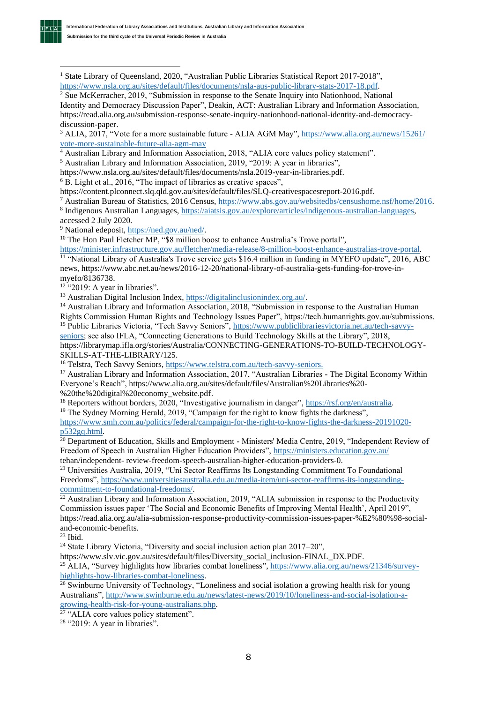

<sup>1</sup> State Library of Queensland, 2020, "Australian Public Libraries Statistical Report 2017-2018", [https://www.nsla.org.au/sites/default/files/documents/nsla-aus-public-library-stats-2017-18.pdf.](https://www.nsla.org.au/sites/default/files/documents/nsla-aus-public-library-stats-2017-18.pdf)

<sup>2</sup> Sue McKerracher, 2019, "Submission in response to the Senate Inquiry into Nationhood, National Identity and Democracy Discussion Paper", Deakin, ACT: Australian Library and Information Association, https://read.alia.org.au/submission-response-senate-inquiry-nationhood-national-identity-and-democracydiscussion-paper.

<sup>3</sup> ALIA, 2017, "Vote for a more sustainable future - ALIA AGM May", [https://www.alia.org.au/news/15261/](https://www.alia.org.au/news/15261/%20vote-more-sustainable-future-alia-agm-may)  [vote-more-sustainable-future-alia-agm-may](https://www.alia.org.au/news/15261/%20vote-more-sustainable-future-alia-agm-may)

<sup>4</sup> Australian Library and Information Association, 2018, "ALIA core values policy statement".

<sup>5</sup> Australian Library and Information Association, 2019, "2019: A year in libraries",

https://www.nsla.org.au/sites/default/files/documents/nsla.2019-year-in-libraries.pdf.

 $6$  B. Light et al., 2016, "The impact of libraries as creative spaces",

https://content.plconnect.slq.qld.gov.au/sites/default/files/SLQ-creativespacesreport-2016.pdf.

<sup>7</sup> Australian Bureau of Statistics, 2016 Census[, https://www.abs.gov.au/websitedbs/censushome.nsf/home/2016.](https://www.abs.gov.au/websitedbs/censushome.nsf/home/2016) 8 Indigenous Australian Languages, [https://aiatsis.gov.au/explore/articles/indigenous-australian-languages,](https://aiatsis.gov.au/explore/articles/indigenous-australian-languages)

accessed 2 July 2020.

<sup>9</sup> National edeposit, [https://ned.gov.au/ned/.](https://ned.gov.au/ned/)

<sup>10</sup> The Hon Paul Fletcher MP, "\$8 million boost to enhance Australia's Trove portal",

[https://minister.infrastructure.gov.au/fletcher/media-release/8-million-boost-enhance-australias-trove-portal.](https://minister.infrastructure.gov.au/fletcher/media-release/8-million-boost-enhance-australias-trove-portal) <sup>11</sup> "National Library of Australia's Trove service gets \$16.4 million in funding in MYEFO update", 2016, ABC news, https://www.abc.net.au/news/2016-12-20/national-library-of-australia-gets-funding-for-trove-inmyefo/8136738.

<sup>12</sup> "2019: A year in libraries".

<sup>13</sup> Australian Digital Inclusion Index, [https://digitalinclusionindex.org.au/.](https://digitalinclusionindex.org.au/)

<sup>14</sup> Australian Library and Information Association, 2018, "Submission in response to the Australian Human Rights Commission Human Rights and Technology Issues Paper", https://tech.humanrights.gov.au/submissions. <sup>15</sup> Public Libraries Victoria, "Tech Savvy Seniors", [https://www.publiclibrariesvictoria.net.au/tech-savvy-](https://www.publiclibrariesvictoria.net.au/tech-savvy-seniors)

[seniors;](https://www.publiclibrariesvictoria.net.au/tech-savvy-seniors) see also IFLA, "Connecting Generations to Build Technology Skills at the Library", 2018, https://librarymap.ifla.org/stories/Australia/CONNECTING-GENERATIONS-TO-BUILD-TECHNOLOGY-SKILLS-AT-THE-LIBRARY/125.

<sup>16</sup> Telstra, Tech Savvy Seniors[, https://www.telstra.com.au/tech-savvy-seniors.](https://www.telstra.com.au/tech-savvy-seniors)

<sup>17</sup> Australian Library and Information Association, 2017, "Australian Libraries - The Digital Economy Within Everyone's Reach", https://www.alia.org.au/sites/default/files/Australian%20Libraries%20- %20the%20digital%20economy\_website.pdf.

<sup>18</sup> Reporters without borders, 2020, "Investigative journalism in danger", [https://rsf.org/en/australia.](https://rsf.org/en/australia)

<sup>19</sup> The Sydney Morning Herald, 2019, "Campaign for the right to know fights the darkness",

[https://www.smh.com.au/politics/federal/campaign-for-the-right-to-know-fights-the-darkness-20191020](https://www.smh.com.au/politics/federal/campaign-for-the-right-to-know-fights-the-darkness-20191020-p532gq.html) [p532gq.html.](https://www.smh.com.au/politics/federal/campaign-for-the-right-to-know-fights-the-darkness-20191020-p532gq.html)

<sup>20</sup> Department of Education, Skills and Employment - Ministers' Media Centre, 2019, "Independent Review of Freedom of Speech in Australian Higher Education Providers",<https://ministers.education.gov.au/> tehan/independent- review-freedom-speech-australian-higher-education-providers-0.

<sup>21</sup> Universities Australia, 2019, "Uni Sector Reaffirms Its Longstanding Commitment To Foundational Freedoms", [https://www.universitiesaustralia.edu.au/media-item/uni-sector-reaffirms-its-longstanding](https://www.universitiesaustralia.edu.au/media-item/uni-sector-reaffirms-its-longstanding-commitment-to-foundational-freedoms/)[commitment-to-foundational-freedoms/.](https://www.universitiesaustralia.edu.au/media-item/uni-sector-reaffirms-its-longstanding-commitment-to-foundational-freedoms/)

 $\frac{22}{22}$  Australian Library and Information Association, 2019, "ALIA submission in response to the Productivity Commission issues paper 'The Social and Economic Benefits of Improving Mental Health', April 2019", https://read.alia.org.au/alia-submission-response-productivity-commission-issues-paper-%E2%80%98-socialand-economic-benefits.

<sup>23</sup> Ibid.

<sup>24</sup> State Library Victoria, "Diversity and social inclusion action plan  $2017-20$ ",

https://www.slv.vic.gov.au/sites/default/files/Diversity\_social\_inclusion-FINAL\_DX.PDF.

<sup>25</sup> ALIA, "Survey highlights how libraries combat loneliness", [https://www.alia.org.au/news/21346/survey](https://www.alia.org.au/news/21346/survey-highlights-how-libraries-combat-loneliness)[highlights-how-libraries-combat-loneliness.](https://www.alia.org.au/news/21346/survey-highlights-how-libraries-combat-loneliness)

 $\frac{26}{26}$  Swinburne University of Technology, "Loneliness and social isolation a growing health risk for young Australians", [http://www.swinburne.edu.au/news/latest-news/2019/10/loneliness-and-social-isolation-a](http://www.swinburne.edu.au/news/latest-news/2019/10/loneliness-and-social-isolation-a-growing-health-risk-for-young-australians.php)[growing-health-risk-for-young-australians.php.](http://www.swinburne.edu.au/news/latest-news/2019/10/loneliness-and-social-isolation-a-growing-health-risk-for-young-australians.php)

<sup>27</sup> "ALIA core values policy statement".

 $28$  "2019: A year in libraries".